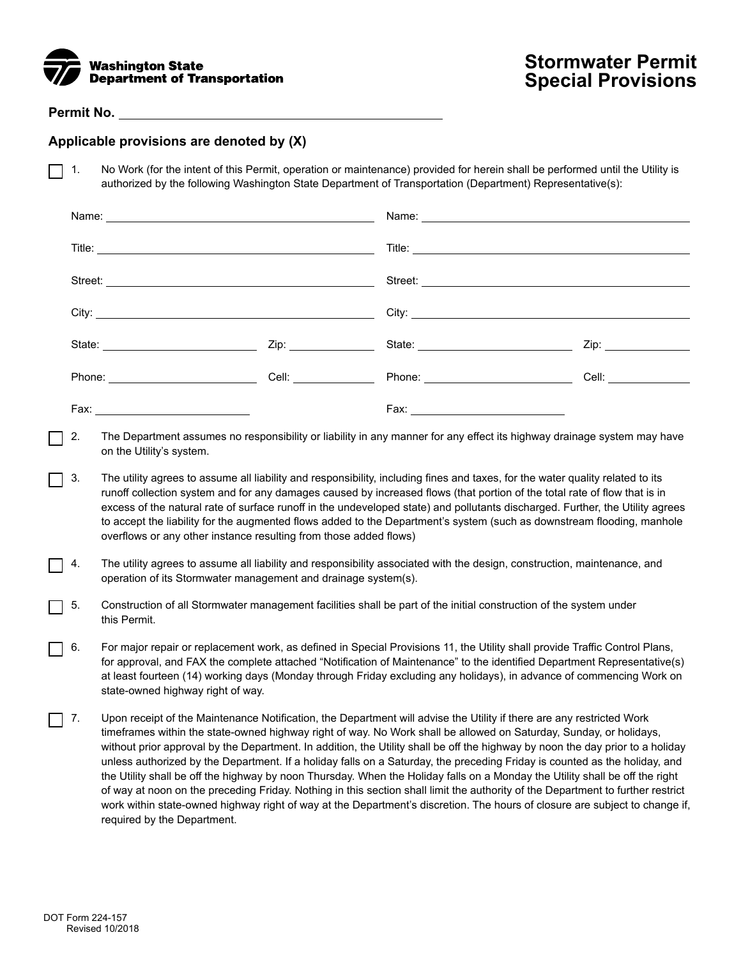

## **Permit No.**

## **Applicable provisions are denoted by (X)**

1. No Work (for the intent of this Permit, operation or maintenance) provided for herein shall be performed until the Utility is  $\mathsf{L}$ authorized by the following Washington State Department of Transportation (Department) Representative(s):

|      | Cell: _______________ |                               | Cell: ___________ |
|------|-----------------------|-------------------------------|-------------------|
| Fax: |                       | Fax: ________________________ |                   |

- 2. The Department assumes no responsibility or liability in any manner for any effect its highway drainage system may have on the Utility's system.
- 3. The utility agrees to assume all liability and responsibility, including fines and taxes, for the water quality related to its runoff collection system and for any damages caused by increased flows (that portion of the total rate of flow that is in excess of the natural rate of surface runoff in the undeveloped state) and pollutants discharged. Further, the Utility agrees to accept the liability for the augmented flows added to the Department's system (such as downstream flooding, manhole overflows or any other instance resulting from those added flows)
- 4. The utility agrees to assume all liability and responsibility associated with the design, construction, maintenance, and operation of its Stormwater management and drainage system(s).
- 5. Construction of all Stormwater management facilities shall be part of the initial construction of the system under this Permit.
- 6. For major repair or replacement work, as defined in Special Provisions 11, the Utility shall provide Traffic Control Plans, for approval, and FAX the complete attached "Notification of Maintenance" to the identified Department Representative(s) at least fourteen (14) working days (Monday through Friday excluding any holidays), in advance of commencing Work on state-owned highway right of way.
- 7. Upon receipt of the Maintenance Notification, the Department will advise the Utility if there are any restricted Work  $\blacksquare$ timeframes within the state-owned highway right of way. No Work shall be allowed on Saturday, Sunday, or holidays, without prior approval by the Department. In addition, the Utility shall be off the highway by noon the day prior to a holiday unless authorized by the Department. If a holiday falls on a Saturday, the preceding Friday is counted as the holiday, and the Utility shall be off the highway by noon Thursday. When the Holiday falls on a Monday the Utility shall be off the right of way at noon on the preceding Friday. Nothing in this section shall limit the authority of the Department to further restrict work within state-owned highway right of way at the Department's discretion. The hours of closure are subject to change if, required by the Department.